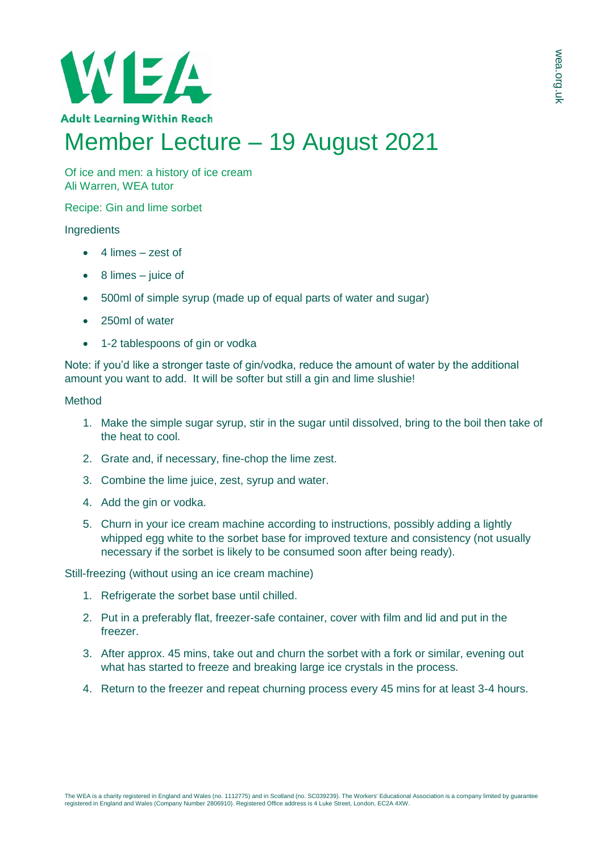

Of ice and men: a history of ice cream Ali Warren, WEA tutor

Recipe: Gin and lime sorbet

# **Ingredients**

- $\bullet$  4 limes zest of
- 8 limes juice of
- 500ml of simple syrup (made up of equal parts of water and sugar)
- 250ml of water
- 1-2 tablespoons of gin or vodka

Note: if you'd like a stronger taste of gin/yodka, reduce the amount of water by the additional amount you want to add. It will be softer but still a gin and lime slushie!

## Method

- 1. Make the simple sugar syrup, stir in the sugar until dissolved, bring to the boil then take of the heat to cool.
- 2. Grate and, if necessary, fine-chop the lime zest.
- 3. Combine the lime juice, zest, syrup and water.
- 4. Add the gin or vodka.
- 5. Churn in your ice cream machine according to instructions, possibly adding a lightly whipped egg white to the sorbet base for improved texture and consistency (not usually necessary if the sorbet is likely to be consumed soon after being ready).

Still-freezing (without using an ice cream machine)

- 1. Refrigerate the sorbet base until chilled.
- 2. Put in a preferably flat, freezer-safe container, cover with film and lid and put in the freezer.
- 3. After approx. 45 mins, take out and churn the sorbet with a fork or similar, evening out what has started to freeze and breaking large ice crystals in the process.
- 4. Return to the freezer and repeat churning process every 45 mins for at least 3-4 hours.